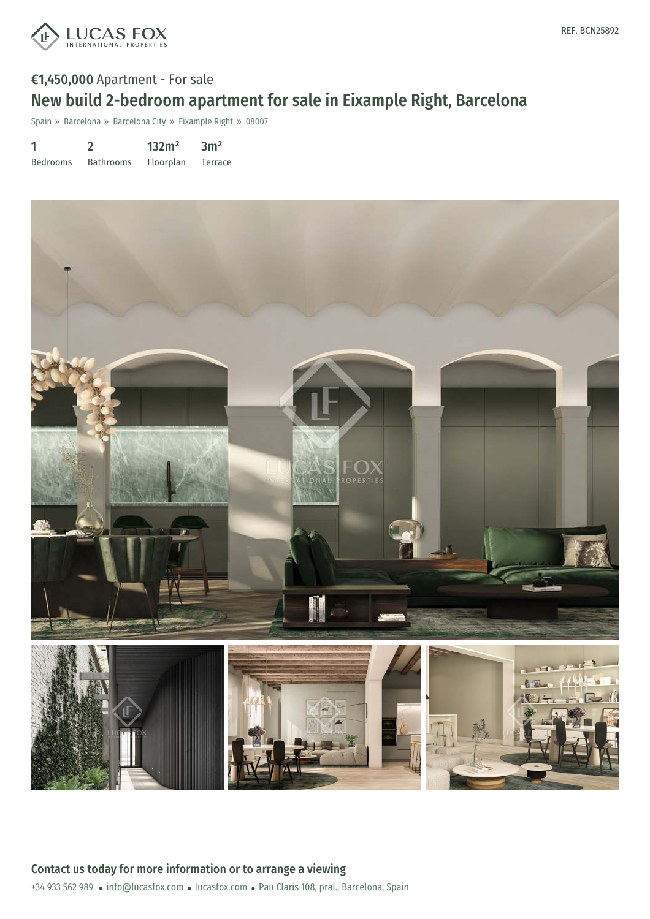

# €1,450,000 Apartment - For sale New build 2-bedroom apartment for sale in Eixample Right, Barcelona

Spain » Barcelona » Barcelona City » Eixample Right » 08007

| 1               |                  | 132m <sup>2</sup> | 3m <sup>2</sup> |
|-----------------|------------------|-------------------|-----------------|
| <b>Bedrooms</b> | <b>Bathrooms</b> | <b>Floorplan</b>  | Terrace         |

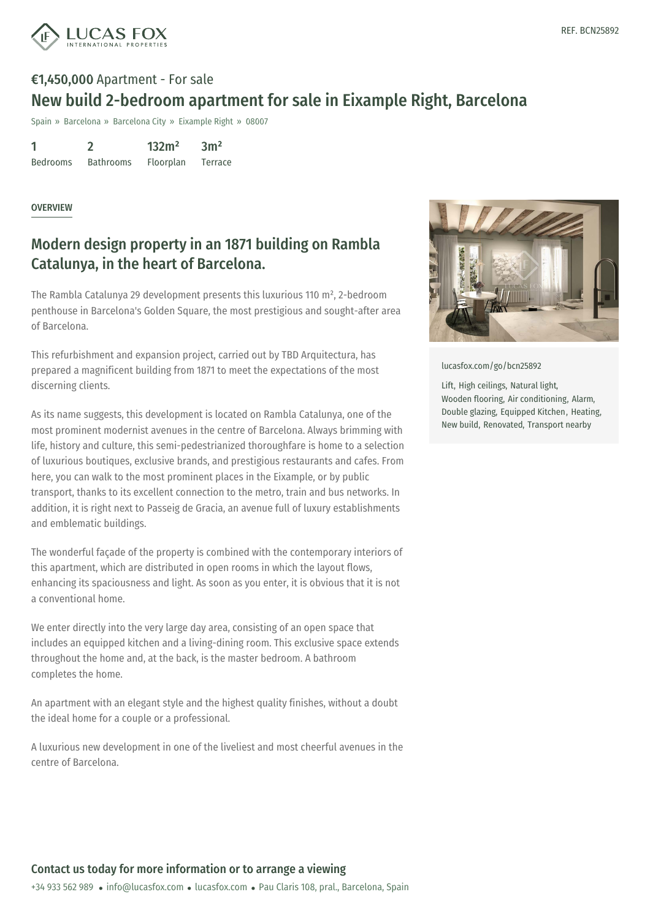

# €1,450,000 Apartment - For sale New build 2-bedroom apartment for sale in Eixample Right, Barcelona

Spain » Barcelona » Barcelona City » Eixample Right » 08007

1 Bedrooms 2 Bathrooms 132m² Floorplan  $3<sup>m²</sup>$ Terrace

#### OVERVIEW

### Modern design property in an 1871 building on Rambla Catalunya, in the heart of Barcelona.

The Rambla Catalunya 29 development presents this luxurious 110 m², 2-bedroom penthouse in Barcelona's Golden Square, the most prestigious and sought-after area of Barcelona.

This refurbishment and expansion project, carried out by TBD Arquitectura, has prepared a magnificent building from 1871 to meet the expectations of the most discerning clients.

As its name suggests, this development is located on Rambla Catalunya, one of the most prominent modernist avenues in the centre of Barcelona. Always brimming with life, history and culture, this semi-pedestrianized thoroughfare is home to a selection of luxurious boutiques, exclusive brands, and prestigious restaurants and cafes. From here, you can walk to the most prominent places in the Eixample, or by public transport, thanks to its excellent connection to the metro, train and bus networks. In addition, it is right next to Passeig de Gracia, an avenue full of luxury establishments and emblematic buildings.

The wonderful façade of the property is combined with the contemporary interiors of this apartment, which are distributed in open rooms in which the layout flows, enhancing its spaciousness and light. As soon as you enter, it is obvious that it is not a conventional home.

We enter directly into the very large day area, consisting of an open space that includes an equipped kitchen and a living-dining room. This exclusive space extends throughout the home and, at the back, is the master bedroom. A bathroom completes the home.

An apartment with an elegant style and the highest quality finishes, without a doubt the ideal home for a couple or a professional.

A luxurious new development in one of the liveliest and most cheerful avenues in the centre of Barcelona.



[lucasfox.com/go/bcn25892](https://www.lucasfox.com/go/bcn25892)

Lift, High ceilings, Natural light, Wooden flooring, Air conditioning, Alarm, Double glazing, Equipped Kitchen, Heating, New build, Renovated, Transport nearby